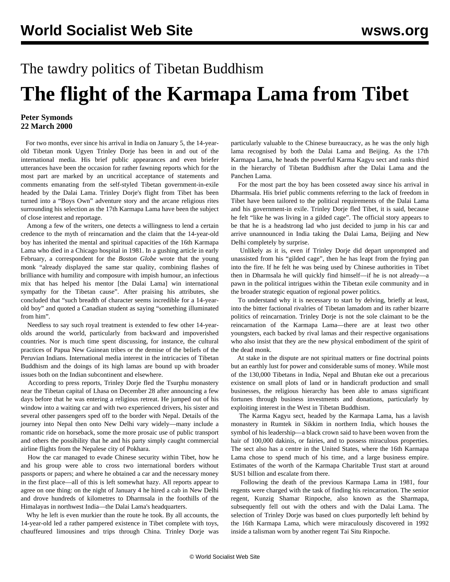## The tawdry politics of Tibetan Buddhism **The flight of the Karmapa Lama from Tibet**

## **Peter Symonds 22 March 2000**

 For two months, ever since his arrival in India on January 5, the 14-yearold Tibetan monk Ugyen Trinley Dorje has been in and out of the international media. His brief public appearances and even briefer utterances have been the occasion for rather fawning reports which for the most part are marked by an uncritical acceptance of statements and comments emanating from the self-styled Tibetan government-in-exile headed by the Dalai Lama. Trinley Dorje's flight from Tibet has been turned into a "Boys Own" adventure story and the arcane religious rites surrounding his selection as the 17th Karmapa Lama have been the subject of close interest and reportage.

 Among a few of the writers, one detects a willingness to lend a certain credence to the myth of reincarnation and the claim that the 14-year-old boy has inherited the mental and spiritual capacities of the 16th Karmapa Lama who died in a Chicago hospital in 1981. In a gushing article in early February, a correspondent for the *Boston Globe* wrote that the young monk "already displayed the same star quality, combining flashes of brilliance with humility and composure with impish humour, an infectious mix that has helped his mentor [the Dalai Lama] win international sympathy for the Tibetan cause". After praising his attributes, she concluded that "such breadth of character seems incredible for a 14-yearold boy" and quoted a Canadian student as saying "something illuminated from him".

 Needless to say such royal treatment is extended to few other 14-yearolds around the world, particularly from backward and impoverished countries. Nor is much time spent discussing, for instance, the cultural practices of Papua New Guinean tribes or the demise of the beliefs of the Peruvian Indians. International media interest in the intricacies of Tibetan Buddhism and the doings of its high lamas are bound up with broader issues both on the Indian subcontinent and elsewhere.

 According to press reports, Trinley Dorje fled the Tsurphu monastery near the Tibetan capital of Lhasa on December 28 after announcing a few days before that he was entering a religious retreat. He jumped out of his window into a waiting car and with two experienced drivers, his sister and several other passengers sped off to the border with Nepal. Details of the journey into Nepal then onto New Delhi vary widely—many include a romantic ride on horseback, some the more prosaic use of public transport and others the possibility that he and his party simply caught commercial airline flights from the Nepalese city of Pokhara.

 How the car managed to evade Chinese security within Tibet, how he and his group were able to cross two international borders without passports or papers; and where he obtained a car and the necessary money in the first place—all of this is left somewhat hazy. All reports appear to agree on one thing: on the night of January 4 he hired a cab in New Delhi and drove hundreds of kilometres to Dharmsala in the foothills of the Himalayas in northwest India—the Dalai Lama's headquarters.

 Why he left is even murkier than the route he took. By all accounts, the 14-year-old led a rather pampered existence in Tibet complete with toys, chauffeured limousines and trips through China. Trinley Dorje was

particularly valuable to the Chinese bureaucracy, as he was the only high lama recognised by both the Dalai Lama and Beijing. As the 17th Karmapa Lama, he heads the powerful Karma Kagyu sect and ranks third in the hierarchy of Tibetan Buddhism after the Dalai Lama and the Panchen Lama.

 For the most part the boy has been cosseted away since his arrival in Dharmsala. His brief public comments referring to the lack of freedom in Tibet have been tailored to the political requirements of the Dalai Lama and his government-in exile. Trinley Dorje fled Tibet, it is said, because he felt "like he was living in a gilded cage". The official story appears to be that he is a headstrong lad who just decided to jump in his car and arrive unannounced in India taking the Dalai Lama, Beijing and New Delhi completely by surprise.

 Unlikely as it is, even if Trinley Dorje did depart unprompted and unassisted from his "gilded cage", then he has leapt from the frying pan into the fire. If he felt he was being used by Chinese authorities in Tibet then in Dharmsala he will quickly find himself—if he is not already—a pawn in the political intrigues within the Tibetan exile community and in the broader strategic equation of regional power politics.

 To understand why it is necessary to start by delving, briefly at least, into the bitter factional rivalries of Tibetan lamadom and its rather bizarre politics of reincarnation. Trinley Dorje is not the sole claimant to be the reincarnation of the Karmapa Lama—there are at least two other youngsters, each backed by rival lamas and their respective organisations who also insist that they are the new physical embodiment of the spirit of the dead monk.

 At stake in the dispute are not spiritual matters or fine doctrinal points but an earthly lust for power and considerable sums of money. While most of the 130,000 Tibetans in India, Nepal and Bhutan eke out a precarious existence on small plots of land or in handicraft production and small businesses, the religious hierarchy has been able to amass significant fortunes through business investments and donations, particularly by exploiting interest in the West in Tibetan Buddhism.

 The Karma Kagyu sect, headed by the Karmapa Lama, has a lavish monastery in Rumtek in Sikkim in northern India, which houses the symbol of his leadership—a black crown said to have been woven from the hair of 100,000 dakinis, or fairies, and to possess miraculous properties. The sect also has a centre in the United States, where the 16th Karmapa Lama chose to spend much of his time, and a large business empire. Estimates of the worth of the Karmapa Charitable Trust start at around \$US1 billion and escalate from there.

 Following the death of the previous Karmapa Lama in 1981, four regents were charged with the task of finding his reincarnation. The senior regent, Kunzig Shamar Rinpoche, also known as the Sharmapa, subsequently fell out with the others and with the Dalai Lama. The selection of Trinley Dorje was based on clues purportedly left behind by the 16th Karmapa Lama, which were miraculously discovered in 1992 inside a talisman worn by another regent Tai Situ Rinpoche.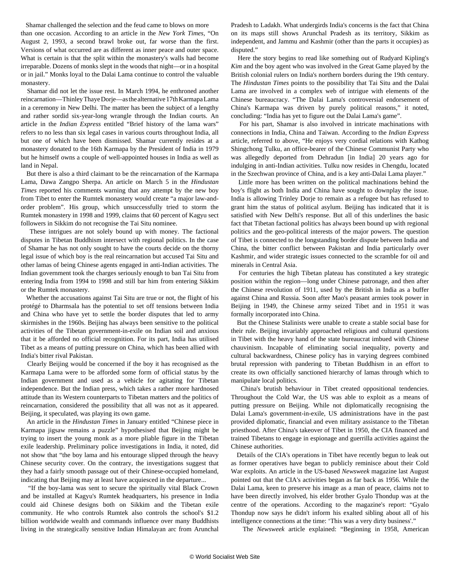Shamar challenged the selection and the feud came to blows on more than one occasion. According to an article in the *New York Times*, "On August 2, 1993, a second brawl broke out, far worse than the first. Versions of what occurred are as different as inner peace and outer space. What is certain is that the split within the monastery's walls had become irreparable. Dozens of monks slept in the woods that night—or in a hospital or in jail." Monks loyal to the Dalai Lama continue to control the valuable monastery.

 Shamar did not let the issue rest. In March 1994, he enthroned another reincarnation—Thinley Thaye Dorje—as the alternative 17th Karmapa Lama in a ceremony in New Delhi. The matter has been the subject of a lengthy and rather sordid six-year-long wrangle through the Indian courts. An article in the *Indian Express* entitled "Brief history of the lama wars" refers to no less than six legal cases in various courts throughout India, all but one of which have been dismissed. Shamar currently resides at a monastery donated to the 16th Karmapa by the President of India in 1979 but he himself owns a couple of well-appointed houses in India as well as land in Nepal.

 But there is also a third claimant to be the reincarnation of the Karmapa Lama, Dawa Zangpo Sherpa. An article on March 5 in the *Hindustan Times* reported his comments warning that any attempt by the new boy from Tibet to enter the Rumtek monastery would create "a major law-andorder problem". His group, which unsuccessfully tried to storm the Rumtek monastery in 1998 and 1999, claims that 60 percent of Kagyu sect followers in Sikkim do not recognise the Tai Situ nominee.

 These intrigues are not solely bound up with money. The factional disputes in Tibetan Buddhism intersect with regional politics. In the case of Shamar he has not only sought to have the courts decide on the thorny legal issue of which boy is the real reincarnation but accused Tai Situ and other lamas of being Chinese agents engaged in anti-Indian activities. The Indian government took the charges seriously enough to ban Tai Situ from entering India from 1994 to 1998 and still bar him from entering Sikkim or the Rumtek monastery.

 Whether the accusations against Tai Situ are true or not, the flight of his protégé to Dharmsala has the potential to set off tensions between India and China who have yet to settle the border disputes that led to army skirmishes in the 1960s. Beijing has always been sensitive to the political activities of the Tibetan government-in-exile on Indian soil and anxious that it be afforded no official recognition. For its part, India has utilised Tibet as a means of putting pressure on China, which has been allied with India's bitter rival Pakistan.

 Clearly Beijing would be concerned if the boy it has recognised as the Karmapa Lama were to be afforded some form of official status by the Indian government and used as a vehicle for agitating for Tibetan independence. But the Indian press, which takes a rather more hardnosed attitude than its Western counterparts to Tibetan matters and the politics of reincarnation, considered the possibility that all was not as it appeared. Beijing, it speculated, was playing its own game.

 An article in the *Hindustan Times* in January entitled "Chinese piece in Karmapa jigsaw remains a puzzle" hypothesised that Beijing might be trying to insert the young monk as a more pliable figure in the Tibetan exile leadership. Preliminary police investigations in India, it noted, did not show that "the boy lama and his entourage slipped through the heavy Chinese security cover. On the contrary, the investigations suggest that they had a fairly smooth passage out of their Chinese-occupied homeland, indicating that Beijing may at least have acquiesced in the departure...

 "If the boy-lama was sent to secure the spiritually vital Black Crown and be installed at Kagyu's Rumtek headquarters, his presence in India could aid Chinese designs both on Sikkim and the Tibetan exile community. He who controls Rumtek also controls the school's \$1.2 billion worldwide wealth and commands influence over many Buddhists living in the strategically sensitive Indian Himalayan arc from Arunchal Pradesh to Ladakh. What undergirds India's concerns is the fact that China on its maps still shows Arunchal Pradesh as its territory, Sikkim as independent, and Jammu and Kashmir (other than the parts it occupies) as disputed."

 Here the story begins to read like something out of Rudyard Kipling's *Kim* and the boy agent who was involved in the Great Game played by the British colonial rulers on India's northern borders during the 19th century. The *Hindustan Times* points to the possibility that Tai Situ and the Dalai Lama are involved in a complex web of intrigue with elements of the Chinese bureaucracy. "The Dalai Lama's controversial endorsement of China's Karmapa was driven by purely political reasons," it noted, concluding: "India has yet to figure out the Dalai Lama's game".

 For his part, Shamar is also involved in intricate machinations with connections in India, China and Taiwan. According to the *Indian Express* article, referred to above, "He enjoys very cordial relations with Kathog Shingchong Tulku, an office-bearer of the Chinese Communist Party who was allegedly deported from Dehradun [in India] 20 years ago for indulging in anti-Indian activities. Tulku now resides in Chengdu, located in the Szechwan province of China, and is a key anti-Dalai Lama player."

 Little more has been written on the political machinations behind the boy's flight as both India and China have sought to downplay the issue. India is allowing Trinley Dorje to remain as a refugee but has refused to grant him the status of political asylum. Beijing has indicated that it is satisfied with New Delhi's response. But all of this underlines the basic fact that Tibetan factional politics has always been bound up with regional politics and the geo-political interests of the major powers. The question of Tibet is connected to the longstanding border dispute between India and China, the bitter conflict between Pakistan and India particularly over Kashmir, and wider strategic issues connected to the scramble for oil and minerals in Central Asia.

 For centuries the high Tibetan plateau has constituted a key strategic position within the region—long under Chinese patronage, and then after the Chinese revolution of 1911, used by the British in India as a buffer against China and Russia. Soon after Mao's peasant armies took power in Beijing in 1949, the Chinese army seized Tibet and in 1951 it was formally incorporated into China.

 But the Chinese Stalinists were unable to create a stable social base for their rule. Beijing invariably approached religious and cultural questions in Tibet with the heavy hand of the state bureaucrat imbued with Chinese chauvinism. Incapable of eliminating social inequality, poverty and cultural backwardness, Chinese policy has in varying degrees combined brutal repression with pandering to Tibetan Buddhism in an effort to create its own officially sanctioned hierarchy of lamas through which to manipulate local politics.

 China's brutish behaviour in Tibet created oppositional tendencies. Throughout the Cold War, the US was able to exploit as a means of putting pressure on Beijing. While not diplomatically recognising the Dalai Lama's government-in-exile, US administrations have in the past provided diplomatic, financial and even military assistance to the Tibetan priesthood. After China's takeover of Tibet in 1950, the CIA financed and trained Tibetans to engage in espionage and guerrilla activities against the Chinese authorities.

 Details of the CIA's operations in Tibet have recently begun to leak out as former operatives have began to publicly reminisce about their Cold War exploits. An article in the US-based *Newsweek* magazine last August pointed out that the CIA's activities began as far back as 1956. While the Dalai Lama, keen to preserve his image as a man of peace, claims not to have been directly involved, his elder brother Gyalo Thondup was at the centre of the operations. According to the magazine's report: "Gyalo Thondup now says he didn't inform his exalted sibling about all of his intelligence connections at the time: 'This was a very dirty business'."

The *Newsweek* article explained: "Beginning in 1958, American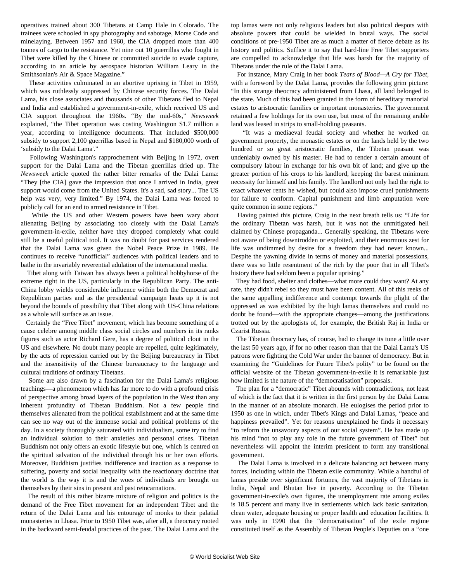operatives trained about 300 Tibetans at Camp Hale in Colorado. The trainees were schooled in spy photography and sabotage, Morse Code and minelaying. Between 1957 and 1960, the CIA dropped more than 400 tonnes of cargo to the resistance. Yet nine out 10 guerrillas who fought in Tibet were killed by the Chinese or committed suicide to evade capture, according to an article by aerospace historian William Leary in the Smithsonian's Air & Space Magazine."

 These activities culminated in an abortive uprising in Tibet in 1959, which was ruthlessly suppressed by Chinese security forces. The Dalai Lama, his close associates and thousands of other Tibetans fled to Nepal and India and established a government-in-exile, which received US and CIA support throughout the 1960s. "By the mid-60s," *Newsweek* explained, "the Tibet operation was costing Washington \$1.7 million a year, according to intelligence documents. That included \$500,000 subsidy to support 2,100 guerrillas based in Nepal and \$180,000 worth of 'subsidy to the Dalai Lama'."

 Following Washington's rapprochement with Beijing in 1972, overt support for the Dalai Lama and the Tibetan guerrillas dried up. The *Newsweek* article quoted the rather bitter remarks of the Dalai Lama: "They [the CIA] gave the impression that once I arrived in India, great support would come from the United States. It's a sad, sad story... The US help was very, very limited." By 1974, the Dalai Lama was forced to publicly call for an end to armed resistance in Tibet.

 While the US and other Western powers have been wary about alienating Beijing by associating too closely with the Dalai Lama's government-in-exile, neither have they dropped completely what could still be a useful political tool. It was no doubt for past services rendered that the Dalai Lama was given the Nobel Peace Prize in 1989. He continues to receive "unofficial" audiences with political leaders and to bathe in the invariably reverential adulation of the international media.

 Tibet along with Taiwan has always been a political hobbyhorse of the extreme right in the US, particularly in the Republican Party. The anti-China lobby wields considerable influence within both the Democrat and Republican parties and as the presidential campaign heats up it is not beyond the bounds of possibility that Tibet along with US-China relations as a whole will surface as an issue.

 Certainly the "Free Tibet" movement, which has become something of a cause celebre among middle class social circles and numbers in its ranks figures such as actor Richard Gere, has a degree of political clout in the US and elsewhere. No doubt many people are repelled, quite legitimately, by the acts of repression carried out by the Beijing bureaucracy in Tibet and the insensitivity of the Chinese bureaucracy to the language and cultural traditions of ordinary Tibetans.

 Some are also drawn by a fascination for the Dalai Lama's religious teachings—a phenomenon which has far more to do with a profound crisis of perspective among broad layers of the population in the West than any inherent profundity of Tibetan Buddhism. Not a few people find themselves alienated from the political establishment and at the same time can see no way out of the immense social and political problems of the day. In a society thoroughly saturated with individualism, some try to find an individual solution to their anxieties and personal crises. Tibetan Buddhism not only offers an exotic lifestyle but one, which is centred on the spiritual salvation of the individual through his or her own efforts. Moreover, Buddhism justifies indifference and inaction as a response to suffering, poverty and social inequality with the reactionary doctrine that the world is the way it is and the woes of individuals are brought on themselves by their sins in present and past reincarnations.

 The result of this rather bizarre mixture of religion and politics is the demand of the Free Tibet movement for an independent Tibet and the return of the Dalai Lama and his entourage of monks to their palatial monasteries in Lhasa. Prior to 1950 Tibet was, after all, a theocracy rooted in the backward semi-feudal practices of the past. The Dalai Lama and the top lamas were not only religious leaders but also political despots with absolute powers that could be wielded in brutal ways. The social conditions of pre-1950 Tibet are as much a matter of fierce debate as its history and politics. Suffice it to say that hard-line Free Tibet supporters are compelled to acknowledge that life was harsh for the majority of Tibetans under the rule of the Dalai Lama.

 For instance, Mary Craig in her book *Tears of Blood—A Cry for Tibet*, with a foreword by the Dalai Lama, provides the following grim picture: "In this strange theocracy administered from Lhasa, all land belonged to the state. Much of this had been granted in the form of hereditary manorial estates to aristocratic families or important monasteries. The government retained a few holdings for its own use, but most of the remaining arable land was leased in strips to small-holding peasants.

 "It was a mediaeval feudal society and whether he worked on government property, the monastic estates or on the lands held by the two hundred or so great aristocratic families, the Tibetan peasant was undeniably owned by his master. He had to render a certain amount of compulsory labour in exchange for his own bit of land; and give up the greater portion of his crops to his landlord, keeping the barest minimum necessity for himself and his family. The landlord not only had the right to exact whatever rents he wished, but could also impose cruel punishments for failure to conform. Capital punishment and limb amputation were quite common in some regions."

 Having painted this picture, Craig in the next breath tells us: "Life for the ordinary Tibetan was harsh, but it was not the unmitigated hell claimed by Chinese propaganda... Generally speaking, the Tibetans were not aware of being downtrodden or exploited, and their enormous zest for life was undimmed by desire for a freedom they had never known... Despite the yawning divide in terms of money and material possessions, there was so little resentment of the rich by the poor that in all Tibet's history there had seldom been a popular uprising."

 They had food, shelter and clothes—what more could they want? At any rate, they didn't rebel so they must have been content. All of this reeks of the same appalling indifference and contempt towards the plight of the oppressed as was exhibited by the high lamas themselves and could no doubt be found—with the appropriate changes—among the justifications trotted out by the apologists of, for example, the British Raj in India or Czarist Russia.

 The Tibetan theocracy has, of course, had to change its tune a little over the last 50 years ago, if for no other reason than that the Dalai Lama's US patrons were fighting the Cold War under the banner of democracy. But in examining the "Guidelines for Future Tibet's polity" to be found on the official website of the Tibetan government-in-exile it is remarkable just how limited is the nature of the "democratisation" proposals.

 The plan for a "democratic" Tibet abounds with contradictions, not least of which is the fact that it is written in the first person by the Dalai Lama in the manner of an absolute monarch. He eulogises the period prior to 1950 as one in which, under Tibet's Kings and Dalai Lamas, "peace and happiness prevailed". Yet for reasons unexplained he finds it necessary "to reform the unsavoury aspects of our social system". He has made up his mind "not to play any role in the future government of Tibet" but nevertheless will appoint the interim president to form any transitional government.

 The Dalai Lama is involved in a delicate balancing act between many forces, including within the Tibetan exile community. While a handful of lamas preside over significant fortunes, the vast majority of Tibetans in India, Nepal and Bhutan live in poverty. According to the Tibetan government-in-exile's own figures, the unemployment rate among exiles is 18.5 percent and many live in settlements which lack basic sanitation, clean water, adequate housing or proper health and education facilities. It was only in 1990 that the "democratisation" of the exile regime constituted itself as the Assembly of Tibetan People's Deputies on a "one